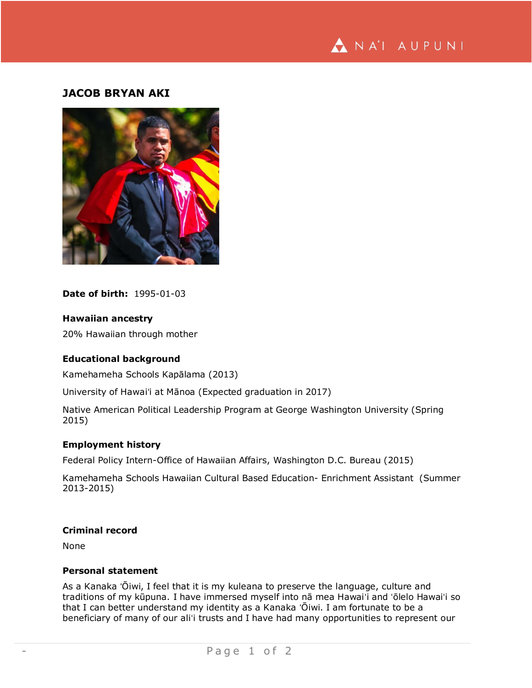

# **JACOB BRYAN AKI**



**Date of birth:** 1995-01-03

**Hawaiian ancestry**

20% Hawaiian through mother

#### **Educational background**

Kamehameha Schools Kapālama (2013)

University of Hawaiʻi at Mānoa (Expected graduation in 2017)

Native American Political Leadership Program at George Washington University (Spring 2015)

### **Employment history**

Federal Policy Intern-Office of Hawaiian Affairs, Washington D.C. Bureau (2015)

Kamehameha Schools Hawaiian Cultural Based Education- Enrichment Assistant (Summer 2013-2015)

### **Criminal record**

None

## **Personal statement**

As a Kanaka ʻŌiwi, I feel that it is my kuleana to preserve the language, culture and traditions of my kūpuna. I have immersed myself into nā mea Hawaiʻi and ʻōlelo Hawaiʻi so that I can better understand my identity as a Kanaka ʻŌiwi. I am fortunate to be a beneficiary of many of our aliʻi trusts and I have had many opportunities to represent our